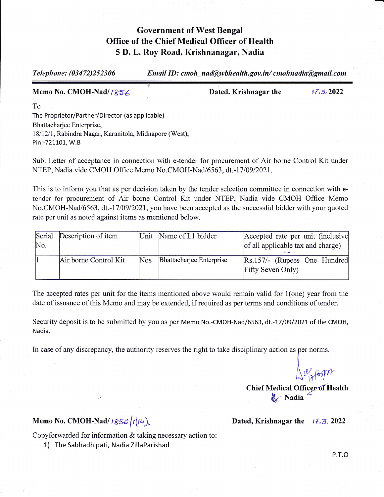## Government of West Bengal Office of the Chief Medical Officer of Health 5 D. L. Roy Road, Krishnanagar, Nadia

 $Telephone: (03472)252306$  Email ID: cmoh nad@wbhealth.gov.in/ cmohnadia@gmail.com

Memo No. CMOH-Nad/1856

Dated. Krishnagar the  $\frac{17.3}{2022}$ 

To The Proprietor/Partner/Director (as applicable) Bhattacharjee Enterprise, 18/12/1, Rabindra Nagar, Karanitola, Midnapore (West), Pin:-721101, W.B

.r

Sub: Letter of acceptance in connection with e-tender for procurement of Air bome Control Kit under NTEP, Nadia vide CMOH Office Memo No.CMOH-Nad/6563, dt.-17/09/2021.

This is to inform you that as per decision taken by the tender selection committee in connection with etender for procurement of Air borne Control Kit under NTEP, Nadia vide CMOH Office Memo No.CMOH-Nad/6563, dt.-17/09/2021, you have been accepted as the successful bidder with your quoted rate per unit as noted against items as mentioned below.

| Serial | Description of item   |            | Unit Name of L1 bidder   | Accepted rate per unit (inclusive |
|--------|-----------------------|------------|--------------------------|-----------------------------------|
| No.    |                       |            |                          | of all applicable tax and charge) |
|        |                       |            |                          |                                   |
|        | Air borne Control Kit | <b>Nos</b> | Bhattacharjee Enterprise | Rs.157/- (Rupees One Hundred      |
|        |                       |            |                          | Fifty Seven Only)                 |
|        |                       |            |                          |                                   |

The accepted rates per unit for the items mentioned above would remain valid for l(one) year from the date of issuance of this Memo and may be extended, if required as per terms and conditions of tender.

Security deposit is to be submitted by you as per Memo No.-CMOH-Nad/6563, dt.-17/09/2021 of the CMOH, Nadia.

In case of any discrepancy, the authority reserves the right to take disciplinary action as per norms.

 $\Omega_{\rm 1a}^{\rm eq}$  foopt

Chief Medical Officer of Health / Nadia

## Memo No. CMOH-Nad/  $1856/1(14)$ .

Dated, Krishnagar the  $17.3$ , 2022

Copyforwarded for information & taking necessary action to:

1) The Sabhadhipati, Nadia ZillaParishad